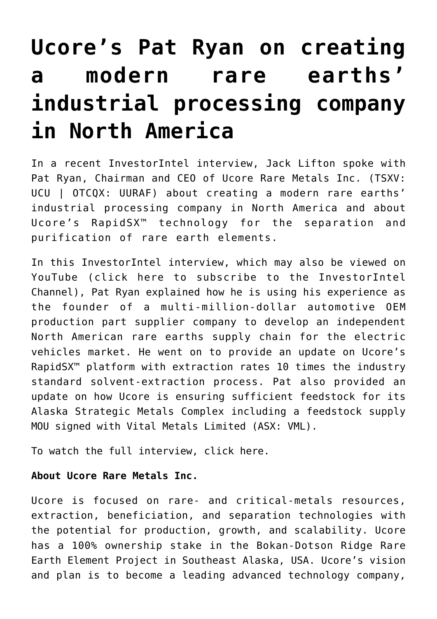## **[Ucore's Pat Ryan on creating](https://investorintel.com/investorintel-video/pat-ryan-and-jack-lifton-discuss-the-business-plan-for-ucore-rare-metals-inc/) [a modern rare earths'](https://investorintel.com/investorintel-video/pat-ryan-and-jack-lifton-discuss-the-business-plan-for-ucore-rare-metals-inc/) [industrial processing company](https://investorintel.com/investorintel-video/pat-ryan-and-jack-lifton-discuss-the-business-plan-for-ucore-rare-metals-inc/) [in North America](https://investorintel.com/investorintel-video/pat-ryan-and-jack-lifton-discuss-the-business-plan-for-ucore-rare-metals-inc/)**

In a recent InvestorIntel interview, Jack Lifton spoke with Pat Ryan, Chairman and CEO of [Ucore Rare Metals Inc.](https://ucore.com/) (TSXV: UCU | OTCQX: UURAF) about creating a modern rare earths' industrial processing company in North America and about Ucore's RapidSX™ technology for the separation and purification of rare earth elements.

In this InvestorIntel interview, which may also be viewed on YouTube ([click here to subscribe to the InvestorIntel](https://www.youtube.com/channel/UCTAJpGxZWbiV9psQA5WATVg?view_as=subscriber) [Channel\)](https://www.youtube.com/channel/UCTAJpGxZWbiV9psQA5WATVg?view_as=subscriber), Pat Ryan explained how he is using his experience as the founder of a multi-million-dollar automotive OEM production part supplier company to develop an independent North American rare earths supply chain for the electric vehicles market. He went on to provide an update on Ucore's RapidSX™ platform with extraction rates 10 times the industry standard solvent-extraction process. Pat also provided an update on how Ucore is ensuring sufficient feedstock for its Alaska Strategic Metals Complex including a [feedstock supply](https://ucore.com/ucore-and-vital-metals-execute-feedstock-supply-mou-for-the-alaska-smc/) [MOU](https://ucore.com/ucore-and-vital-metals-execute-feedstock-supply-mou-for-the-alaska-smc/) signed with Vital Metals Limited (ASX: VML).

To watch the full interview, [click here](https://youtu.be/MF9tqp4xvdA).

## **About Ucore Rare Metals Inc.**

Ucore is focused on rare- and critical-metals resources, extraction, beneficiation, and separation technologies with the potential for production, growth, and scalability. Ucore has a 100% ownership stake in the Bokan-Dotson Ridge Rare Earth Element Project in Southeast Alaska, USA. Ucore's vision and plan is to become a leading advanced technology company,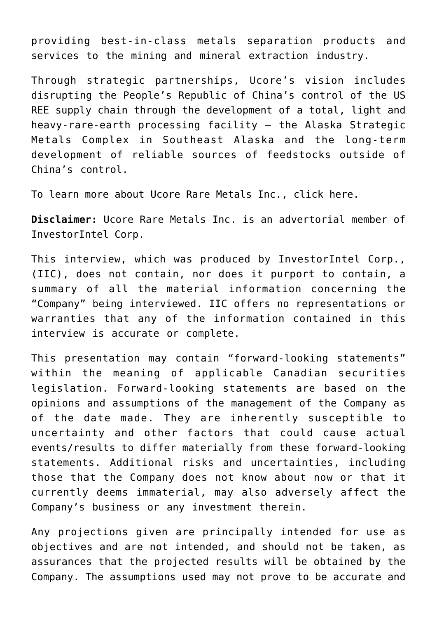providing best-in-class metals separation products and services to the mining and mineral extraction industry.

Through strategic partnerships, Ucore's vision includes disrupting the People's Republic of China's control of the US REE supply chain through the development of a total, light and heavy-rare-earth processing facility — the Alaska Strategic Metals Complex in Southeast Alaska and the long-term development of reliable sources of feedstocks outside of China's control.

To learn more about Ucore Rare Metals Inc., [click here](https://ucore.com/).

**Disclaimer:** Ucore Rare Metals Inc. is an advertorial member of InvestorIntel Corp.

This interview, which was produced by InvestorIntel Corp., (IIC), does not contain, nor does it purport to contain, a summary of all the material information concerning the "Company" being interviewed. IIC offers no representations or warranties that any of the information contained in this interview is accurate or complete.

This presentation may contain "forward-looking statements" within the meaning of applicable Canadian securities legislation. Forward-looking statements are based on the opinions and assumptions of the management of the Company as of the date made. They are inherently susceptible to uncertainty and other factors that could cause actual events/results to differ materially from these forward-looking statements. Additional risks and uncertainties, including those that the Company does not know about now or that it currently deems immaterial, may also adversely affect the Company's business or any investment therein.

Any projections given are principally intended for use as objectives and are not intended, and should not be taken, as assurances that the projected results will be obtained by the Company. The assumptions used may not prove to be accurate and